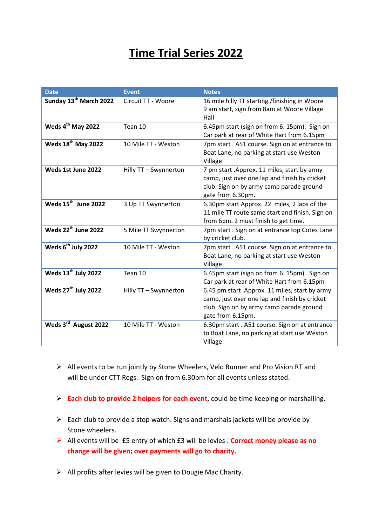## **Time Trial Series 2022**

| <b>Date</b>                        | <b>Event</b>          | <b>Notes</b>                                                                                                                                                      |
|------------------------------------|-----------------------|-------------------------------------------------------------------------------------------------------------------------------------------------------------------|
| Sunday 13 <sup>th</sup> March 2022 | Circuit TT - Woore    | 16 mile hilly TT starting /finishing in Woore<br>9 am start, sign from 8am at Woore Village<br>Hall                                                               |
| Weds 4 <sup>th</sup> May 2022      | Tean 10               | 6.45pm start (sign on from 6. 15pm). Sign on<br>Car park at rear of White Hart from 6.15pm                                                                        |
| Weds 18 <sup>th</sup> May 2022     | 10 Mile TT - Weston   | 7pm start. A51 course. Sign on at entrance to<br>Boat Lane, no parking at start use Weston<br>Village                                                             |
| Weds 1st June 2022                 | Hilly TT - Swynnerton | 7 pm start .Approx. 11 miles, start by army<br>camp, just over one lap and finish by cricket<br>club. Sign on by army camp parade ground<br>gate from 6.30pm.     |
| Weds 15 <sup>th</sup> June 2022    | 3 Up TT Swynnerton    | 6.30pm start Approx. 22 miles, 2 laps of the<br>11 mile TT route same start and finish. Sign on<br>from 6pm. 2 must finish to get time.                           |
| Weds 22 <sup>th</sup> June 2022    | 5 Mile TT Swynnerton  | 7pm start. Sign on at entrance top Cotes Lane<br>by cricket club.                                                                                                 |
| Weds 6 <sup>th</sup> July 2022     | 10 Mile TT - Weston   | 7pm start. A51 course. Sign on at entrance to<br>Boat Lane, no parking at start use Weston<br>Village                                                             |
| Weds 13 <sup>th</sup> July 2022    | Tean 10               | 6.45pm start (sign on from 6. 15pm). Sign on<br>Car park at rear of White Hart from 6.15pm                                                                        |
| Weds 27 <sup>th</sup> July 2022    | Hilly TT - Swynnerton | 6.45 pm start . Approx. 11 miles, start by army<br>camp, just over one lap and finish by cricket<br>club. Sign on by army camp parade ground<br>gate from 6.15pm. |
| Weds 3rd August 2022               | 10 Mile TT - Weston   | 6.30pm start. A51 course. Sign on at entrance<br>to Boat Lane, no parking at start use Weston<br>Village                                                          |

- $\triangleright$  All events to be run jointly by Stone Wheelers, Velo Runner and Pro Vision RT and will be under CTT Regs. Sign on from 6.30pm for all events unless stated.
- **Each club to provide 2 helpers for each event**, could be time keeping or marshalling.
- $\triangleright$  Each club to provide a stop watch. Signs and marshals jackets will be provide by Stone wheelers.
- All events will be £5 entry of which £3 will be levies . **Correct money please as no change will be given; over payments will go to charity.**
- $\triangleright$  All profits after levies will be given to Dougie Mac Charity.